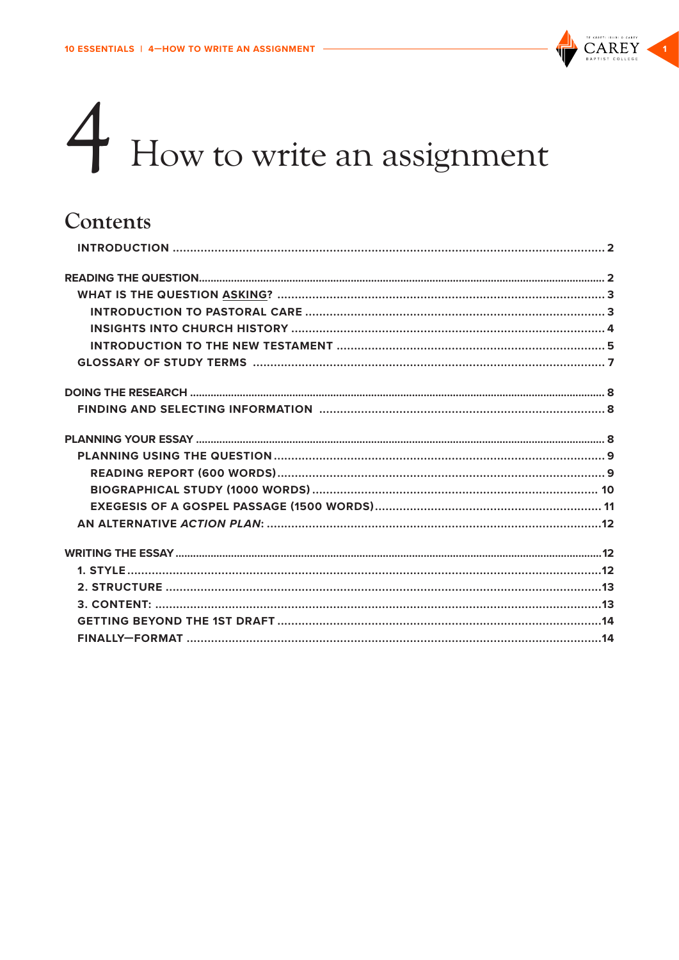

# 4 How to write an assignment

# Contents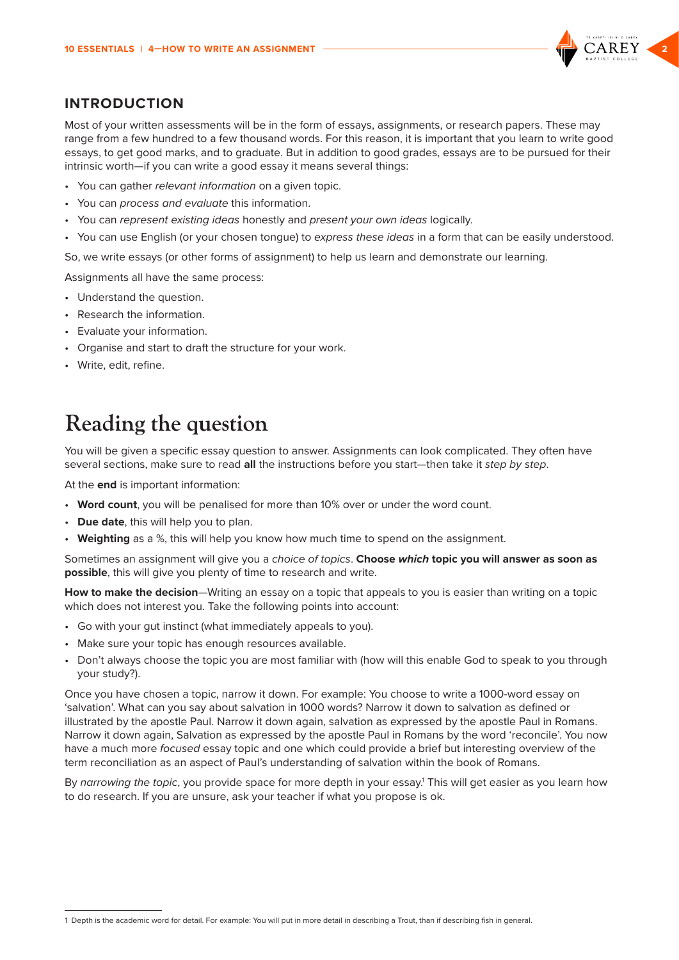

## <span id="page-1-0"></span>**INTRODUCTION**

Most of your written assessments will be in the form of essays, assignments, or research papers. These may range from a few hundred to a few thousand words. For this reason, it is important that you learn to write good essays, to get good marks, and to graduate. But in addition to good grades, essays are to be pursued for their intrinsic worth—if you can write a good essay it means several things:

- You can gather *relevant information* on a given topic.
- You can *process and evaluate* this information.
- You can *represent existing ideas* honestly and *present your own ideas* logically.
- You can use English (or your chosen tongue) to *express these ideas* in a form that can be easily understood.

So, we write essays (or other forms of assignment) to help us learn and demonstrate our learning.

Assignments all have the same process:

- Understand the question.
- Research the information.
- Evaluate your information.
- Organise and start to draft the structure for your work.
- Write, edit, refine.

# **Reading the question**

You will be given a specific essay question to answer. Assignments can look complicated. They often have several sections, make sure to read **all** the instructions before you start—then take it *step by step*.

At the **end** is important information:

- **Word count**, you will be penalised for more than 10% over or under the word count.
- **Due date**, this will help you to plan.
- **Weighting** as a %, this will help you know how much time to spend on the assignment.

Sometimes an assignment will give you a *choice of topics*. **Choose** *which* **topic you will answer as soon as possible**, this will give you plenty of time to research and write.

**How to make the decision**—Writing an essay on a topic that appeals to you is easier than writing on a topic which does not interest you. Take the following points into account:

- Go with your gut instinct (what immediately appeals to you).
- Make sure your topic has enough resources available.
- Don't always choose the topic you are most familiar with (how will this enable God to speak to you through your study?).

Once you have chosen a topic, narrow it down. For example: You choose to write a 1000-word essay on ʻsalvation'. What can you say about salvation in 1000 words? Narrow it down to salvation as defined or illustrated by the apostle Paul. Narrow it down again, salvation as expressed by the apostle Paul in Romans. Narrow it down again, Salvation as expressed by the apostle Paul in Romans by the word 'reconcile'. You now have a much more *focused* essay topic and one which could provide a brief but interesting overview of the term reconciliation as an aspect of Paul's understanding of salvation within the book of Romans.

By *narrowing the topic*, you provide space for more depth in your essay.<sup>1</sup> This will get easier as you learn how to do research. If you are unsure, ask your teacher if what you propose is ok.

<sup>1</sup> Depth is the academic word for detail. For example: You will put in more detail in describing a Trout, than if describing fish in general.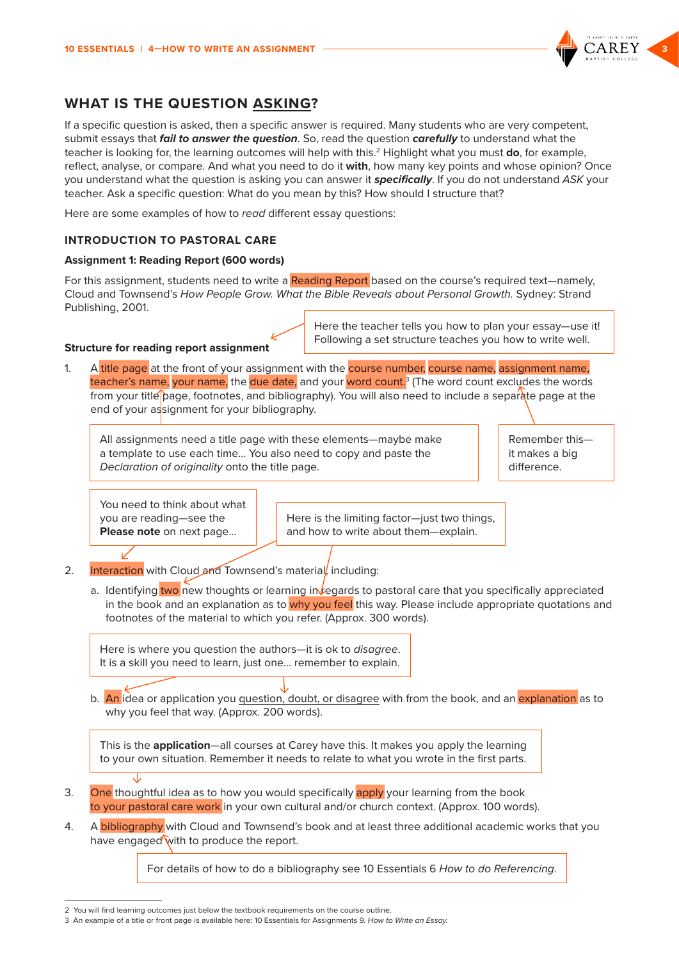

# <span id="page-2-0"></span>**WHAT IS THE QUESTION ASKING?**

If a specific question is asked, then a specific answer is required. Many students who are very competent, submit essays that *fail to answer the question*. So, read the question *carefully* to understand what the teacher is looking for, the learning outcomes will help with this.2 Highlight what you must **do**, for example, reflect, analyse, or compare. And what you need to do it **with**, how many key points and whose opinion? Once you understand what the question is asking you can answer it *specifically*. If you do not understand *ASK* your teacher. Ask a specific question: What do you mean by this? How should I structure that?

Here are some examples of how to *read* different essay questions:

#### **INTRODUCTION TO PASTORAL CARE**

#### **Assignment 1: Reading Report (600 words)**

For this assignment, students need to write a Reading Report based on the course's required text—namely, Cloud and Townsend's *How People Grow. What the Bible Reveals about Personal Growth.* Sydney: Strand Publishing, 2001.

#### **Structure for reading report assignment**

Here the teacher tells you how to plan your essay—use it! Following a set structure teaches you how to write well.

1. A title page at the front of your assignment with the course number, course name, assignment name, teacher's name, your name, the due date, and your word count.<sup>3</sup> (The word count excludes the words from your title page, footnotes, and bibliography). You will also need to include a separate page at the end of your assignment for your bibliography.

All assignments need a title page with these elements—maybe make a template to use each time... You also need to copy and paste the *Declaration of originality* onto the title page.

Remember this it makes a big difference.

You need to think about what you are reading—see the **Please note** on next page...

Here is the limiting factor—just two things, and how to write about them—explain.

- 2. **Interaction** with Cloud and Townsend's material, including:
	- a. Identifying two new thoughts or learning in *legards* to pastoral care that you specifically appreciated in the book and an explanation as to why you feel this way. Please include appropriate quotations and footnotes of the material to which you refer. (Approx. 300 words).

Here is where you question the authors—it is ok to *disagree*. It is a skill you need to learn, just one... remember to explain.

b. An idea or application you question, doubt, or disagree with from the book, and an explanation as to why you feel that way. (Approx. 200 words).

This is the **application**—all courses at Carey have this. It makes you apply the learning to your own situation. Remember it needs to relate to what you wrote in the first parts.

- 3. One thoughtful idea as to how you would specifically apply your learning from the book to your pastoral care work in your own cultural and/or church context. (Approx. 100 words).
- 4. A bibliography with Cloud and Townsend's book and at least three additional academic works that you have engaged with to produce the report.

For details of how to do a bibliography see 10 Essentials 6 *How to do Referencing*.

<sup>2</sup> You will find learning outcomes just below the textbook requirements on the course outline.

<sup>3</sup> An example of a title or front page is available here: 10 Essentials for Assignments 9. *How to Write an Essay.*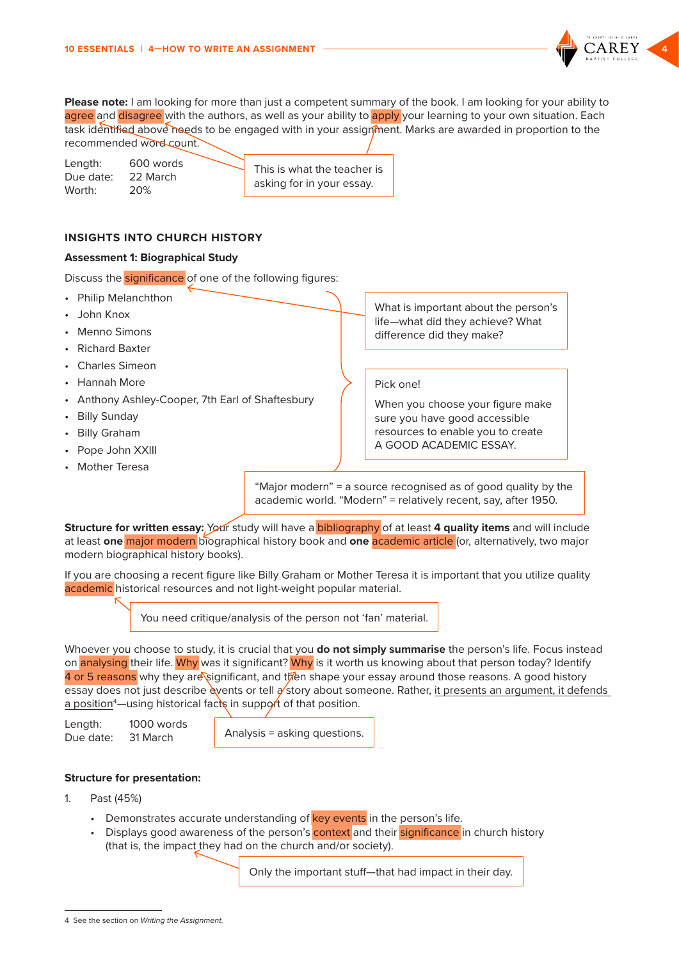

<span id="page-3-0"></span>**Please note:** I am looking for more than just a competent summary of the book. I am looking for your ability to agree and disagree with the authors, as well as your ability to apply your learning to your own situation. Each task identified above needs to be engaged with in your assignment. Marks are awarded in proportion to the recommended word count.

| Length:   | 600 words | This is what the teacher is |
|-----------|-----------|-----------------------------|
| Due date: | 22 March  | asking for in your essay.   |
| Worth:    | 20%       |                             |

#### **INSIGHTS INTO CHURCH HISTORY**

#### **Assessment 1: Biographical Study**

Discuss the **significance** of one of the following figures:

- Philip Melanchthon
- John Knox
- Menno Simons
- Richard Baxter
- Charles Simeon
- Hannah More
- Anthony Ashley-Cooper, 7th Earl of Shaftesbury
- Billy Sunday
- Billy Graham
- Pope John XXIII
- Mother Teresa

What is important about the person's life—what did they achieve? What difference did they make?

#### Pick one!

When you choose your figure make sure you have good accessible resources to enable you to create A GOOD ACADEMIC ESSAY.

"Major modern" = a source recognised as of good quality by the academic world. "Modern" = relatively recent, say, after 1950.

**Structure for written essay:** Your study will have a **bibliography** of at least 4 quality items and will include at least **one** major modern biographical history book and **one** academic article (or, alternatively, two major modern biographical history books).

If you are choosing a recent figure like Billy Graham or Mother Teresa it is important that you utilize quality academic historical resources and not light-weight popular material.

You need critique/analysis of the person not 'fan' material.

Whoever you choose to study, it is crucial that you **do not simply summarise** the person's life. Focus instead on analysing their life. Why was it significant? Why is it worth us knowing about that person today? Identify 4 or 5 reasons why they are significant, and then shape your essay around those reasons. A good history essay does not just describe events or tell a story about someone. Rather, it presents an argument, it defends <u>a position</u>4—using historical fac**ts** in suppo**r**t of that position.

Length: 1000 words Due date: 31 March

Analysis = asking questions.

#### **Structure for presentation:**

- 1. Past (45%)
	- Demonstrates accurate understanding of key events in the person's life.
	- Displays good awareness of the person's context and their significance in church history (that is, the impact they had on the church and/or society).

Only the important stuff—that had impact in their day.

<sup>4</sup> See the section on *Writing the Assignment.*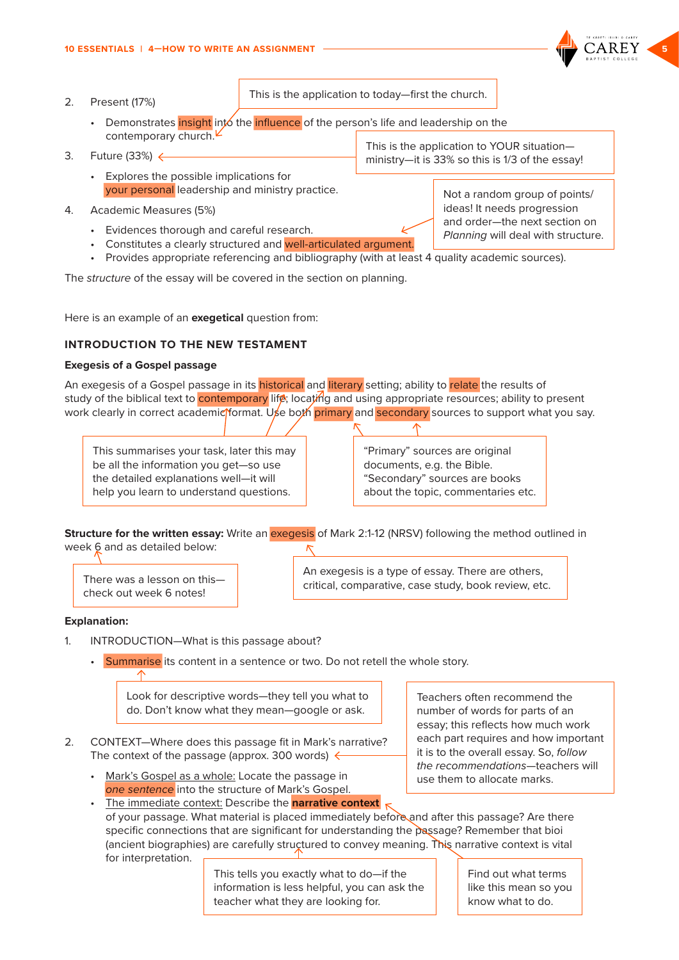#### <span id="page-4-0"></span>2. Present (17%)

This is the application to today—first the church.

- Demonstrates insight into the influence of the person's life and leadership on the contemporary church. This is the application to YOUR situation—
- 3. Future (33%)
	- Explores the possible implications for your personal leadership and ministry practice.
- 4. Academic Measures (5%)
	- Evidences thorough and careful research.
	- Constitutes a clearly structured and well-articulated argument.
	- Provides appropriate referencing and bibliography (with at least 4 quality academic sources).

The *structure* of the essay will be covered in the section on planning.

Here is an example of an **exegetical** question from:

#### **INTRODUCTION TO THE NEW TESTAMENT**

#### **Exegesis of a Gospel passage**

An exegesis of a Gospel passage in its historical and literary setting; ability to relate the results of study of the biblical text to **contemporary** life; locating and using appropriate resources; ability to present work clearly in correct academic format. Use both primary and secondary sources to support what you say.

This summarises your task, later this may be all the information you get—so use the detailed explanations well—it will help you learn to understand questions.

"Primary" sources are original documents, e.g. the Bible. "Secondary" sources are books about the topic, commentaries etc.

**Structure for the written essay:** Write an **exegesis** of Mark 2:1-12 (NRSV) following the method outlined in week 6 and as detailed below:

There was a lesson on this check out week 6 notes!

An exegesis is a type of essay. There are others, critical, comparative, case study, book review, etc.

#### **Explanation:**

- 1. INTRODUCTION—What is this passage about?
	- Summarise its content in a sentence or two. Do not retell the whole story.

Look for descriptive words—they tell you what to do. Don't know what they mean—google or ask.

- 2. CONTEXT—Where does this passage fit in Mark's narrative? The context of the passage (approx. 300 words)  $\leftarrow$ 
	- Mark's Gospel as a whole: Locate the passage in *one sentence* into the structure of Mark's Gospel.

Teachers often recommend the number of words for parts of an essay; this reflects how much work each part requires and how important it is to the overall essay. So, *follow the recommendations*—teachers will use them to allocate marks.

The immediate context: Describe the **narrative context**  $\kappa$ of your passage. What material is placed immediately before and after this passage? Are there specific connections that are significant for understanding the passage? Remember that bioi (ancient biographies) are carefully structured to convey meaning. This narrative context is vital for interpretation.

> This tells you exactly what to do—if the information is less helpful, you can ask the teacher what they are looking for.

Find out what terms like this mean so you know what to do.

Not a random group of points/ ideas! It needs progression and order—the next section on *Planning* will deal with structure.

ministry—it is 33% so this is 1/3 of the essay!

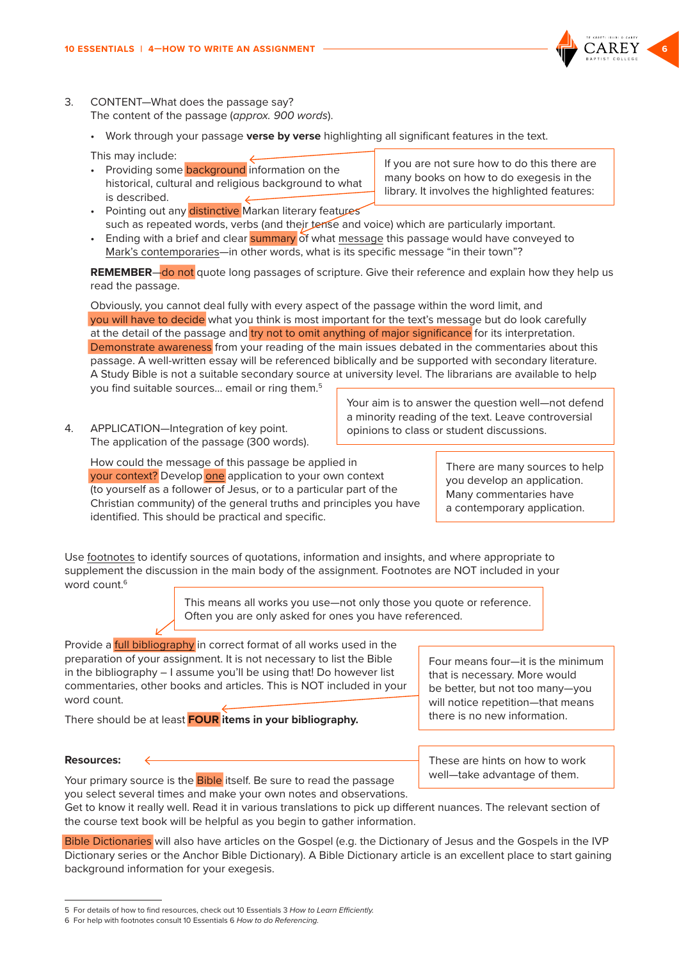- 3. CONTENT—What does the passage say? The content of the passage (*approx. 900 words*).
	- Work through your passage **verse by verse** highlighting all significant features in the text.
	- This may include:
	- Providing some **background** information on the historical, cultural and religious background to what is described.
		- Pointing out any distinctive Markan literary features library. It involves the highlighted features:
	- such as repeated words, verbs (and their tense and voice) which are particularly important. • Ending with a brief and clear summary of what message this passage would have conveyed to Mark's contemporaries—in other words, what is its specific message "in their town"?

**REMEMBER**—do not quote long passages of scripture. Give their reference and explain how they help us read the passage.

Obviously, you cannot deal fully with every aspect of the passage within the word limit, and you will have to decide what you think is most important for the text's message but do look carefully at the detail of the passage and try not to omit anything of major significance for its interpretation. Demonstrate awareness from your reading of the main issues debated in the commentaries about this passage. A well-written essay will be referenced biblically and be supported with secondary literature. A Study Bible is not a suitable secondary source at university level. The librarians are available to help you find suitable sources… email or ring them.5

4. APPLICATION—Integration of key point. The application of the passage (300 words). Your aim is to answer the question well—not defend a minority reading of the text. Leave controversial opinions to class or student discussions.

How could the message of this passage be applied in your context? Develop one application to your own context (to yourself as a follower of Jesus, or to a particular part of the Christian community) of the general truths and principles you have identified. This should be practical and specific.

There are many sources to help you develop an application. Many commentaries have a contemporary application.

Use footnotes to identify sources of quotations, information and insights, and where appropriate to supplement the discussion in the main body of the assignment. Footnotes are NOT included in your word count  $6$ 

> This means all works you use—not only those you quote or reference. Often you are only asked for ones you have referenced.

Provide a **full bibliography** in correct format of all works used in the preparation of your assignment. It is not necessary to list the Bible in the bibliography – I assume you'll be using that! Do however list commentaries, other books and articles. This is NOT included in your word count.

There should be at least **FOUR items in your bibliography.**

Four means four—it is the minimum that is necessary. More would be better, but not too many—you will notice repetition—that means there is no new information.

These are hints on how to work well—take advantage of them.

#### **Resources:**

∠

Your primary source is the **Bible** itself. Be sure to read the passage you select several times and make your own notes and observations.

Get to know it really well. Read it in various translations to pick up different nuances. The relevant section of the course text book will be helpful as you begin to gather information.

Bible Dictionaries will also have articles on the Gospel (e.g. the Dictionary of Jesus and the Gospels in the IVP Dictionary series or the Anchor Bible Dictionary). A Bible Dictionary article is an excellent place to start gaining background information for your exegesis.

If you are not sure how to do this there are many books on how to do exegesis in the



<sup>5</sup> For details of how to find resources, check out 10 Essentials 3 *How to Learn Efficiently.*

<sup>6</sup> For help with footnotes consult 10 Essentials 6 *How to do Referencing.*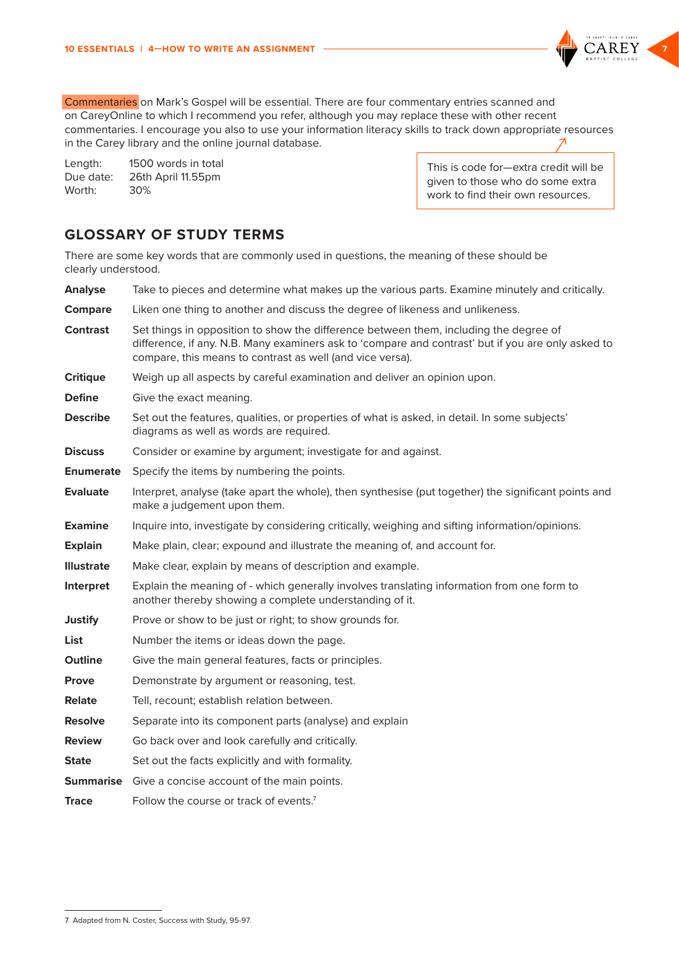<span id="page-6-0"></span>

Length: 1500 words in total Due date: 26th April 11.55pm Worth: 30%

This is code for—extra credit will be given to those who do some extra work to find their own resources.

# **GLOSSARY OF STUDY TERMS**

There are some key words that are commonly used in questions, the meaning of these should be clearly understood.

| <b>Analyse</b>    | Take to pieces and determine what makes up the various parts. Examine minutely and critically.                                                                                                                                                           |  |  |
|-------------------|----------------------------------------------------------------------------------------------------------------------------------------------------------------------------------------------------------------------------------------------------------|--|--|
| <b>Compare</b>    | Liken one thing to another and discuss the degree of likeness and unlikeness.                                                                                                                                                                            |  |  |
| <b>Contrast</b>   | Set things in opposition to show the difference between them, including the degree of<br>difference, if any. N.B. Many examiners ask to 'compare and contrast' but if you are only asked to<br>compare, this means to contrast as well (and vice versa). |  |  |
| <b>Critique</b>   | Weigh up all aspects by careful examination and deliver an opinion upon.                                                                                                                                                                                 |  |  |
| <b>Define</b>     | Give the exact meaning.                                                                                                                                                                                                                                  |  |  |
| <b>Describe</b>   | Set out the features, qualities, or properties of what is asked, in detail. In some subjects'<br>diagrams as well as words are required.                                                                                                                 |  |  |
| <b>Discuss</b>    | Consider or examine by argument; investigate for and against.                                                                                                                                                                                            |  |  |
| <b>Enumerate</b>  | Specify the items by numbering the points.                                                                                                                                                                                                               |  |  |
| <b>Evaluate</b>   | Interpret, analyse (take apart the whole), then synthesise (put together) the significant points and<br>make a judgement upon them.                                                                                                                      |  |  |
| <b>Examine</b>    | Inquire into, investigate by considering critically, weighing and sifting information/opinions.                                                                                                                                                          |  |  |
| <b>Explain</b>    | Make plain, clear; expound and illustrate the meaning of, and account for.                                                                                                                                                                               |  |  |
| <b>Illustrate</b> | Make clear, explain by means of description and example.                                                                                                                                                                                                 |  |  |
| Interpret         | Explain the meaning of - which generally involves translating information from one form to<br>another thereby showing a complete understanding of it.                                                                                                    |  |  |
| <b>Justify</b>    | Prove or show to be just or right; to show grounds for.                                                                                                                                                                                                  |  |  |
| <b>List</b>       | Number the items or ideas down the page.                                                                                                                                                                                                                 |  |  |
| <b>Outline</b>    | Give the main general features, facts or principles.                                                                                                                                                                                                     |  |  |
| <b>Prove</b>      | Demonstrate by argument or reasoning, test.                                                                                                                                                                                                              |  |  |
| <b>Relate</b>     | Tell, recount; establish relation between.                                                                                                                                                                                                               |  |  |
| <b>Resolve</b>    | Separate into its component parts (analyse) and explain                                                                                                                                                                                                  |  |  |
| <b>Review</b>     | Go back over and look carefully and critically.                                                                                                                                                                                                          |  |  |
| <b>State</b>      | Set out the facts explicitly and with formality.                                                                                                                                                                                                         |  |  |
|                   | <b>Summarise</b> Give a concise account of the main points.                                                                                                                                                                                              |  |  |
| <b>Trace</b>      | Follow the course or track of events. <sup>7</sup>                                                                                                                                                                                                       |  |  |
|                   |                                                                                                                                                                                                                                                          |  |  |

<sup>7</sup> Adapted from N. Coster, Success with Study, 95-97.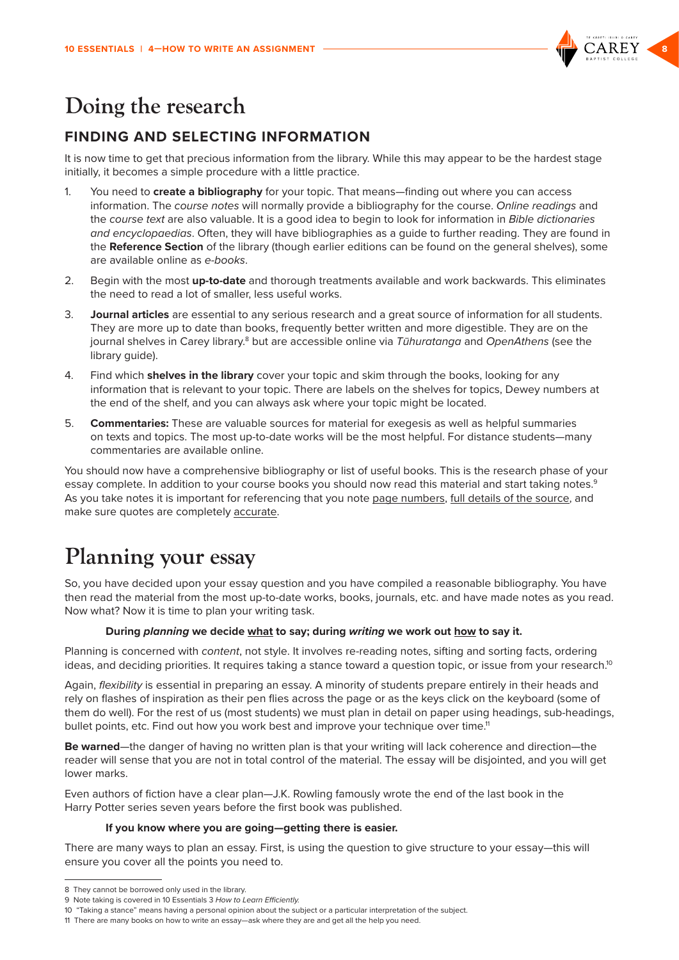

# <span id="page-7-0"></span>**Doing the research**

# **FINDING AND SELECTING INFORMATION**

It is now time to get that precious information from the library. While this may appear to be the hardest stage initially, it becomes a simple procedure with a little practice.

- 1. You need to **create a bibliography** for your topic. That means—finding out where you can access information. The *course notes* will normally provide a bibliography for the course. *Online readings* and the *course text* are also valuable. It is a good idea to begin to look for information in *Bible dictionaries and encyclopaedias*. Often, they will have bibliographies as a guide to further reading. They are found in the **Reference Section** of the library (though earlier editions can be found on the general shelves), some are available online as *e-books*.
- 2. Begin with the most **up-to-date** and thorough treatments available and work backwards. This eliminates the need to read a lot of smaller, less useful works.
- 3. **Journal articles** are essential to any serious research and a great source of information for all students. They are more up to date than books, frequently better written and more digestible. They are on the journal shelves in Carey library.8 but are accessible online via *Tūhuratanga* and *OpenAthens* (see the library guide).
- 4. Find which **shelves in the library** cover your topic and skim through the books, looking for any information that is relevant to your topic. There are labels on the shelves for topics, Dewey numbers at the end of the shelf, and you can always ask where your topic might be located.
- 5. **Commentaries:** These are valuable sources for material for exegesis as well as helpful summaries on texts and topics. The most up-to-date works will be the most helpful. For distance students—many commentaries are available online.

You should now have a comprehensive bibliography or list of useful books. This is the research phase of your essay complete. In addition to your course books you should now read this material and start taking notes.<sup>9</sup> As you take notes it is important for referencing that you note page numbers, full details of the source, and make sure quotes are completely accurate.

# **Planning your essay**

So, you have decided upon your essay question and you have compiled a reasonable bibliography. You have then read the material from the most up-to-date works, books, journals, etc. and have made notes as you read. Now what? Now it is time to plan your writing task.

#### **During** *planning* **we decide what to say; during** *writing* **we work out how to say it.**

Planning is concerned with *content*, not style. It involves re-reading notes, sifting and sorting facts, ordering ideas, and deciding priorities. It requires taking a stance toward a question topic, or issue from your research.<sup>10</sup>

Again, *flexibility* is essential in preparing an essay. A minority of students prepare entirely in their heads and rely on flashes of inspiration as their pen flies across the page or as the keys click on the keyboard (some of them do well). For the rest of us (most students) we must plan in detail on paper using headings, sub-headings, bullet points, etc. Find out how you work best and improve your technique over time.<sup>11</sup>

**Be warned**—the danger of having no written plan is that your writing will lack coherence and direction—the reader will sense that you are not in total control of the material. The essay will be disjointed, and you will get lower marks.

Even authors of fiction have a clear plan—J.K. Rowling famously wrote the end of the last book in the Harry Potter series seven years before the first book was published.

#### **If you know where you are going—getting there is easier.**

There are many ways to plan an essay. First, is using the question to give structure to your essay—this will ensure you cover all the points you need to.

<sup>8</sup> They cannot be borrowed only used in the library.

<sup>9</sup> Note taking is covered in 10 Essentials 3 *How to Learn Efficiently.*

<sup>10 &</sup>quot;Taking a stance" means having a personal opinion about the subject or a particular interpretation of the subject.

<sup>11</sup> There are many books on how to write an essay—ask where they are and get all the help you need.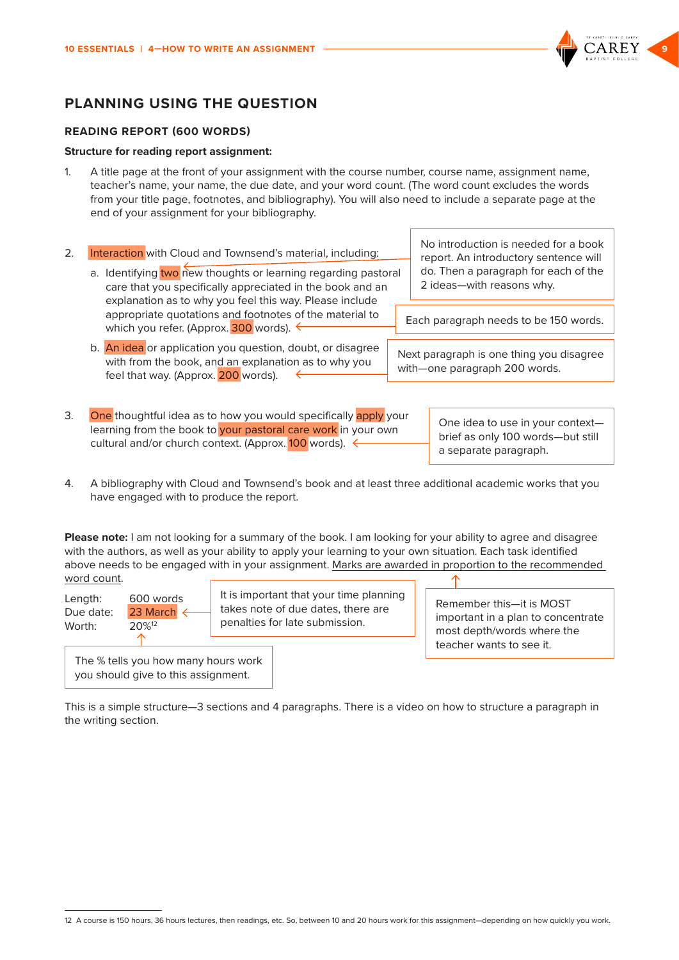

# <span id="page-8-0"></span>**PLANNING USING THE QUESTION**

#### **READING REPORT (600 WORDS)**

#### **Structure for reading report assignment:**

1. A title page at the front of your assignment with the course number, course name, assignment name, teacher's name, your name, the due date, and your word count. (The word count excludes the words from your title page, footnotes, and bibliography). You will also need to include a separate page at the end of your assignment for your bibliography.

| 2. | Interaction with Cloud and Townsend's material, including:<br>a. Identifying two new thoughts or learning regarding pastoral<br>care that you specifically appreciated in the book and an | No introduction is needed for a book<br>report. An introductory sentence will<br>do. Then a paragraph for each of the<br>2 ideas-with reasons why. |  |
|----|-------------------------------------------------------------------------------------------------------------------------------------------------------------------------------------------|----------------------------------------------------------------------------------------------------------------------------------------------------|--|
|    | explanation as to why you feel this way. Please include<br>appropriate quotations and footnotes of the material to<br>which you refer. (Approx. 300 words). ←                             | Each paragraph needs to be 150 words.                                                                                                              |  |
|    | b. An idea or application you question, doubt, or disagree<br>with from the book, and an explanation as to why you<br>feel that way. (Approx. 200 words).                                 | Next paragraph is one thing you disagree<br>with-one paragraph 200 words.                                                                          |  |

3. One thoughtful idea as to how you would specifically apply your learning from the book to your pastoral care work in your own cultural and/or church context. (Approx. 100 words).  $\leftarrow$ 

One idea to use in your context brief as only 100 words—but still a separate paragraph.

4. A bibliography with Cloud and Townsend's book and at least three additional academic works that you have engaged with to produce the report.

**Please note:** I am not looking for a summary of the book. I am looking for your ability to agree and disagree with the authors, as well as your ability to apply your learning to your own situation. Each task identified above needs to be engaged with in your assignment. Marks are awarded in proportion to the recommended word count.

Length: 600 words Due date: 23 March Worth: 20%<sup>12</sup>

It is important that your time planning takes note of due dates, there are penalties for late submission.

Remember this—it is MOST important in a plan to concentrate most depth/words where the teacher wants to see it.

The % tells you how many hours work you should give to this assignment.

This is a simple structure—3 sections and 4 paragraphs. There is a video on how to structure a paragraph in the writing section.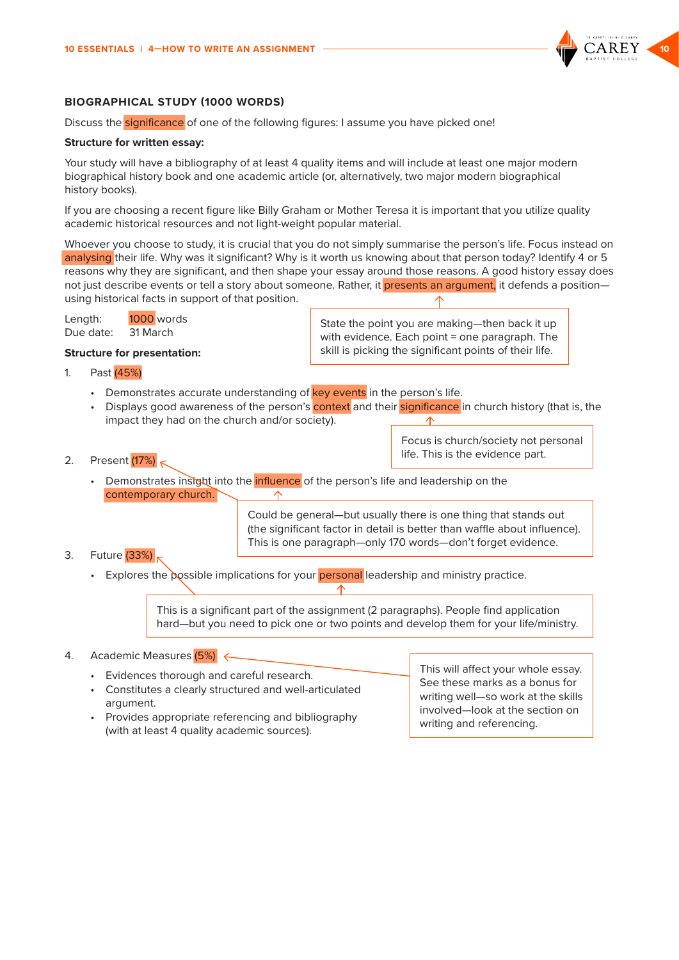

#### <span id="page-9-0"></span>**BIOGRAPHICAL STUDY (1000 WORDS)**

Discuss the significance of one of the following figures: I assume you have picked one!

#### **Structure for written essay:**

Your study will have a bibliography of at least 4 quality items and will include at least one major modern biographical history book and one academic article (or, alternatively, two major modern biographical history books).

If you are choosing a recent figure like Billy Graham or Mother Teresa it is important that you utilize quality academic historical resources and not light-weight popular material.

Whoever you choose to study, it is crucial that you do not simply summarise the person's life. Focus instead on analysing their life. Why was it significant? Why is it worth us knowing about that person today? Identify 4 or 5 reasons why they are significant, and then shape your essay around those reasons. A good history essay does not just describe events or tell a story about someone. Rather, it presents an argument, it defends a position using historical facts in support of that position.

Length: 1000 words Due date: 31 March

State the point you are making—then back it up with evidence. Each point = one paragraph. The skill is picking the significant points of their life.

- **Structure for presentation:**
- 1. Past (45%)
	- Demonstrates accurate understanding of key events in the person's life.
	- Displays good awareness of the person's context and their significance in church history (that is, the impact they had on the church and/or society).
- 2. Present (17%)
	- Demonstrates insight into the **influence** of the person's life and leadership on the contemporary church.

Could be general—but usually there is one thing that stands out (the significant factor in detail is better than waffle about influence). This is one paragraph—only 170 words—don't forget evidence.

- 3. Future (33%)
	- Explores the possible implications for your **personal** leadership and ministry practice.

This is a significant part of the assignment (2 paragraphs). People find application hard—but you need to pick one or two points and develop them for your life/ministry.

#### 4. Academic Measures (5%)

• Evidences thorough and careful research. • Constitutes a clearly structured and well-articulated argument. • Provides appropriate referencing and bibliography

(with at least 4 quality academic sources).

This will affect your whole essay. See these marks as a bonus for writing well—so work at the skills involved—look at the section on writing and referencing.

Focus is church/society not personal

life. This is the evidence part.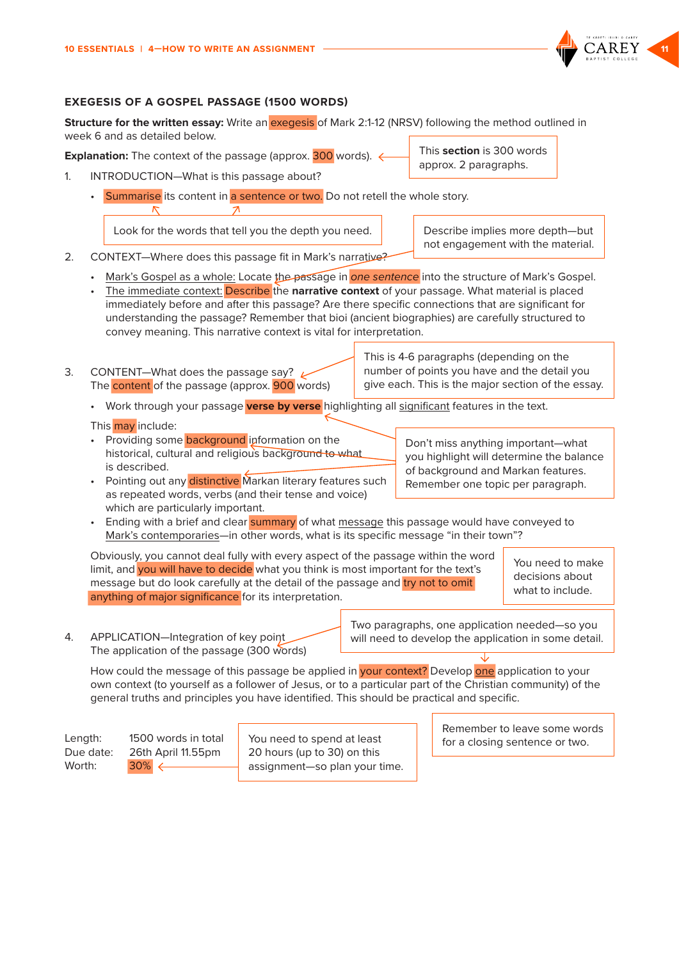

#### <span id="page-10-0"></span>**EXEGESIS OF A GOSPEL PASSAGE (1500 WORDS)**

**Structure for the written essay:** Write an exegesis of Mark 2:1-12 (NRSV) following the method outlined in week 6 and as detailed below.

**Explanation:** The context of the passage (approx. 300 words).  $\leftarrow$ 

- 1. INTRODUCTION—What is this passage about?
	- Summarise its content in a sentence or two. Do not retell the whole story.  $\overline{\phantom{a}}$

Look for the words that tell you the depth you need. Describe implies more depth—but

not engagement with the material.

This **section** is 300 words approx. 2 paragraphs.

- 2. CONTEXT—Where does this passage fit in Mark's narrative?
	- Mark's Gospel as a whole: Locate the passage in *one sentence* into the structure of Mark's Gospel.
	- The immediate context: Describe the **narrative context** of your passage. What material is placed immediately before and after this passage? Are there specific connections that are significant for understanding the passage? Remember that bioi (ancient biographies) are carefully structured to convey meaning. This narrative context is vital for interpretation.
- 3. CONTENT-What does the passage say?  $\mu$ The **content** of the passage (approx. **900** words)

This is 4-6 paragraphs (depending on the number of points you have and the detail you give each. This is the major section of the essay.

> Don't miss anything important—what you highlight will determine the balance of background and Markan features. Remember one topic per paragraph.

• Work through your passage **verse by verse** highlighting all significant features in the text.

#### This may include:

- Providing some **background** information on the historical, cultural and religious background to what is described.
- Pointing out any distinctive Markan literary features such as repeated words, verbs (and their tense and voice) which are particularly important.
- Ending with a brief and clear summary of what message this passage would have conveyed to Mark's contemporaries—in other words, what is its specific message "in their town"?

Obviously, you cannot deal fully with every aspect of the passage within the word limit, and you will have to decide what you think is most important for the text's message but do look carefully at the detail of the passage and try not to omit anything of major significance for its interpretation.

You need to make decisions about what to include.

4. APPLICATION—Integration of key point The application of the passage (300 words) Two paragraphs, one application needed—so you will need to develop the application in some detail.

How could the message of this passage be applied in your context? Develop one application to your own context (to yourself as a follower of Jesus, or to a particular part of the Christian community) of the general truths and principles you have identified. This should be practical and specific.



Remember to leave some words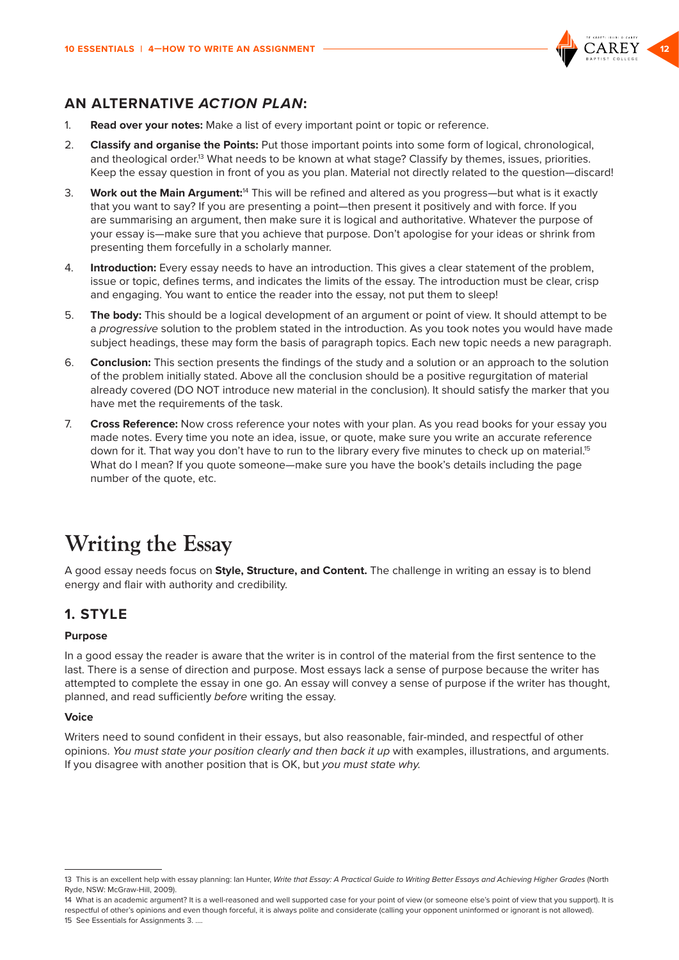

## <span id="page-11-0"></span>**AN ALTERNATIVE** *ACTION PLAN***:**

- 1. **Read over your notes:** Make a list of every important point or topic or reference.
- 2. **Classify and organise the Points:** Put those important points into some form of logical, chronological, and theological order.<sup>13</sup> What needs to be known at what stage? Classify by themes, issues, priorities. Keep the essay question in front of you as you plan. Material not directly related to the question—discard!
- 3. **Work out the Main Argument:**14 This will be refined and altered as you progress—but what is it exactly that you want to say? If you are presenting a point—then present it positively and with force. If you are summarising an argument, then make sure it is logical and authoritative. Whatever the purpose of your essay is—make sure that you achieve that purpose. Don't apologise for your ideas or shrink from presenting them forcefully in a scholarly manner.
- 4. **Introduction:** Every essay needs to have an introduction. This gives a clear statement of the problem, issue or topic, defines terms, and indicates the limits of the essay. The introduction must be clear, crisp and engaging. You want to entice the reader into the essay, not put them to sleep!
- 5. **The body:** This should be a logical development of an argument or point of view. It should attempt to be a *progressive* solution to the problem stated in the introduction. As you took notes you would have made subject headings, these may form the basis of paragraph topics. Each new topic needs a new paragraph.
- 6. **Conclusion:** This section presents the findings of the study and a solution or an approach to the solution of the problem initially stated. Above all the conclusion should be a positive regurgitation of material already covered (DO NOT introduce new material in the conclusion). It should satisfy the marker that you have met the requirements of the task.
- 7. **Cross Reference:** Now cross reference your notes with your plan. As you read books for your essay you made notes. Every time you note an idea, issue, or quote, make sure you write an accurate reference down for it. That way you don't have to run to the library every five minutes to check up on material.<sup>15</sup> What do I mean? If you quote someone—make sure you have the book's details including the page number of the quote, etc.

# **Writing the Essay**

A good essay needs focus on **Style, Structure, and Content.** The challenge in writing an essay is to blend energy and flair with authority and credibility.

# **1. STYLE**

#### **Purpose**

In a good essay the reader is aware that the writer is in control of the material from the first sentence to the last. There is a sense of direction and purpose. Most essays lack a sense of purpose because the writer has attempted to complete the essay in one go. An essay will convey a sense of purpose if the writer has thought, planned, and read sufficiently *before* writing the essay.

#### **Voice**

Writers need to sound confident in their essays, but also reasonable, fair-minded, and respectful of other opinions. *You must state your position clearly and then back it up* with examples, illustrations, and arguments. If you disagree with another position that is OK, but *you must state why.*

14 What is an academic argument? It is a well-reasoned and well supported case for your point of view (or someone else's point of view that you support). It is respectful of other's opinions and even though forceful, it is always polite and considerate (calling your opponent uninformed or ignorant is not allowed). 15 See Essentials for Assignments 3. ….

<sup>13</sup> This is an excellent help with essay planning: Ian Hunter, *Write that Essay: A Practical Guide to Writing Better Essays and Achieving Higher Grades* (North Ryde, NSW: McGraw-Hill, 2009).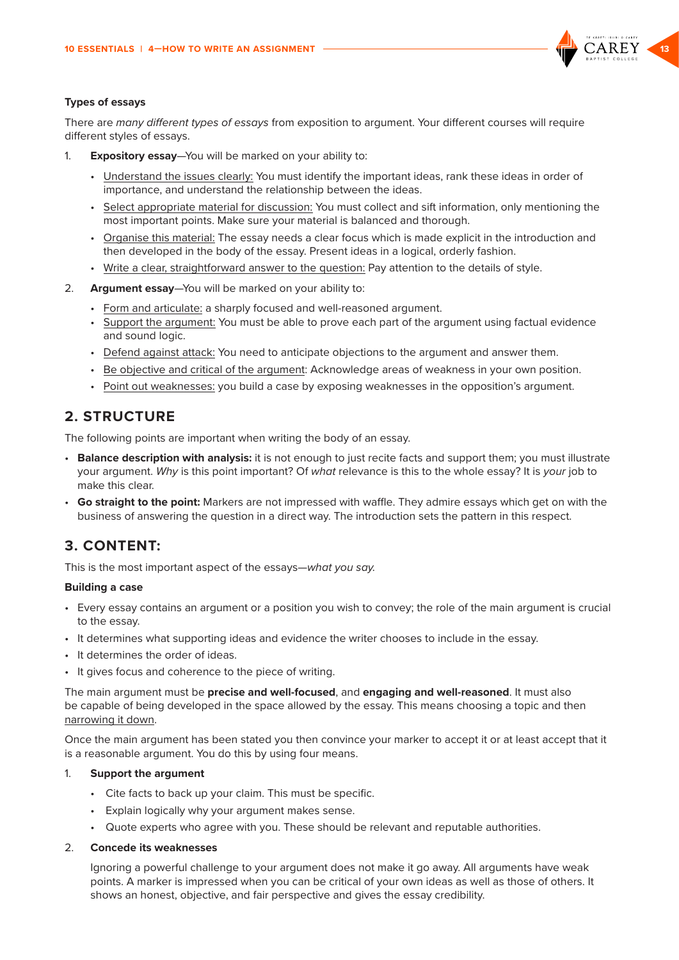

#### <span id="page-12-0"></span>**Types of essays**

There are *many different types of essays* from exposition to argument. Your different courses will require different styles of essays.

- 1. **Expository essay**—You will be marked on your ability to:
	- Understand the issues clearly: You must identify the important ideas, rank these ideas in order of importance, and understand the relationship between the ideas.
	- Select appropriate material for discussion: You must collect and sift information, only mentioning the most important points. Make sure your material is balanced and thorough.
	- Organise this material: The essay needs a clear focus which is made explicit in the introduction and then developed in the body of the essay. Present ideas in a logical, orderly fashion.
	- Write a clear, straightforward answer to the question: Pay attention to the details of style.
- 2. **Argument essay**—You will be marked on your ability to:
	- Form and articulate: a sharply focused and well-reasoned argument.
	- Support the argument: You must be able to prove each part of the argument using factual evidence and sound logic.
	- Defend against attack: You need to anticipate objections to the argument and answer them.
	- Be objective and critical of the argument: Acknowledge areas of weakness in your own position.
	- Point out weaknesses: you build a case by exposing weaknesses in the opposition's argument.

## **2. STRUCTURE**

The following points are important when writing the body of an essay.

- **Balance description with analysis:** it is not enough to just recite facts and support them; you must illustrate your argument. *Why* is this point important? Of *what* relevance is this to the whole essay? It is *your* job to make this clear.
- **Go straight to the point:** Markers are not impressed with waffle. They admire essays which get on with the business of answering the question in a direct way. The introduction sets the pattern in this respect.

# **3. CONTENT:**

This is the most important aspect of the essays—*what you say.*

#### **Building a case**

- Every essay contains an argument or a position you wish to convey; the role of the main argument is crucial to the essay.
- It determines what supporting ideas and evidence the writer chooses to include in the essay.
- It determines the order of ideas.
- It gives focus and coherence to the piece of writing.

The main argument must be **precise and well-focused**, and **engaging and well-reasoned**. It must also be capable of being developed in the space allowed by the essay. This means choosing a topic and then narrowing it down.

Once the main argument has been stated you then convince your marker to accept it or at least accept that it is a reasonable argument. You do this by using four means.

#### 1. **Support the argument**

- Cite facts to back up your claim. This must be specific.
- Explain logically why your argument makes sense.
- Quote experts who agree with you. These should be relevant and reputable authorities.

#### 2. **Concede its weaknesses**

Ignoring a powerful challenge to your argument does not make it go away. All arguments have weak points. A marker is impressed when you can be critical of your own ideas as well as those of others. It shows an honest, objective, and fair perspective and gives the essay credibility.